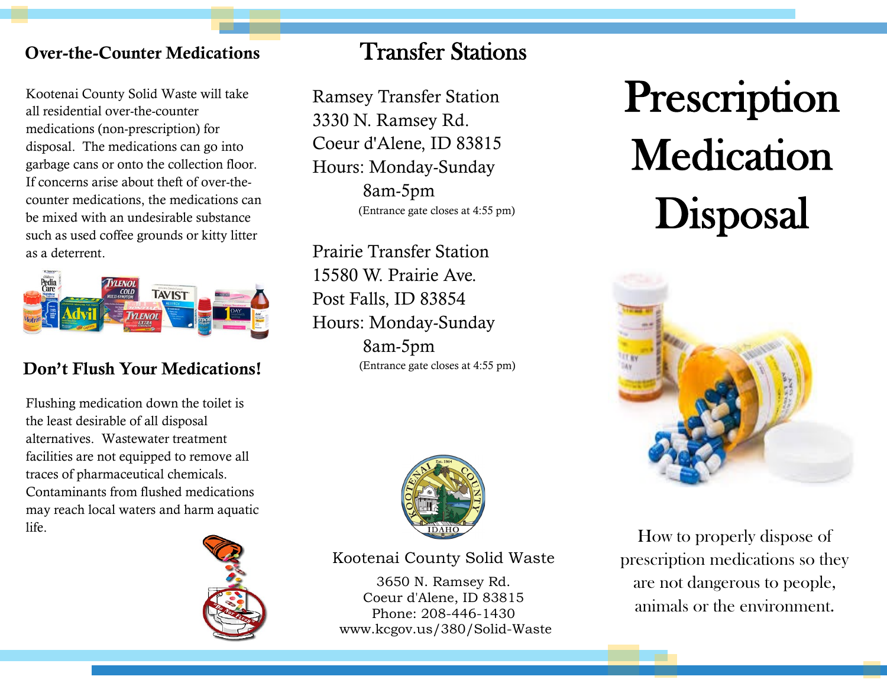## Over-the-Counter Medications Transfer Stations

Kootenai County Solid Waste will take all residential over-the-counter medications (non-prescription) for disposal. The medications can go into garbage cans or onto the collection floor. If concerns arise about theft of over-thecounter medications, the medications can be mixed with an undesirable substance such as used coffee grounds or kitty litter as a deterrent.



### Don't Flush Your Medications!

Flushing medication down the toilet is the least desirable of all disposal alternatives. Wastewater treatment facilities are not equipped to remove all traces of pharmaceutical chemicals. Contaminants from flushed medications may reach local waters and harm aquatic life.



Ramsey Transfer Station 3330 N. Ramsey Rd. Coeur d'Alene, ID 83815 Hours: Monday-Sunday 8am-5pm (Entrance gate closes at 4:55 pm)

Prairie Transfer Station 15580 W. Prairie Ave. Post Falls, ID 83854 Hours: Monday-Sunday 8am-5pm (Entrance gate closes at 4:55 pm)



Kootenai County Solid Waste

3650 N. Ramsey Rd. Coeur d'Alene, ID 83815 Phone: 208-446-1430 www.kcgov.us/380/Solid-Waste

# **Prescription Medication** Disposal



How to properly dispose of prescription medications so they are not dangerous to people, animals or the environment.